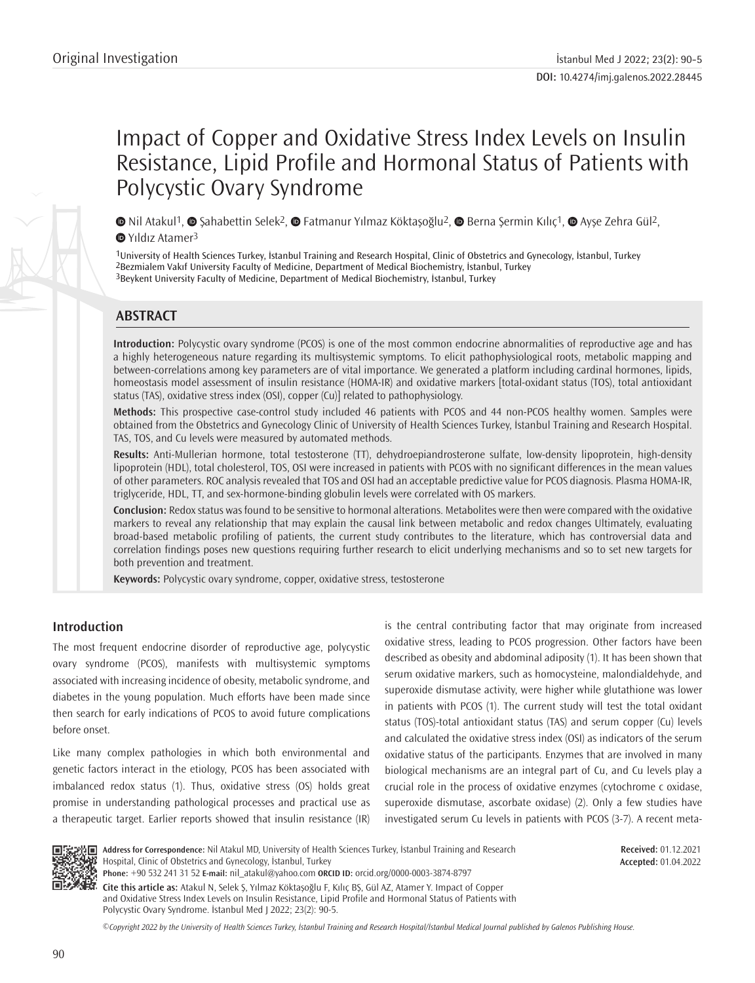# Impact of Copper and Oxidative Stress Index Levels on Insulin Resistance, Lipid Profile and Hormonal Status of Patients with Polycystic Ovary Syndrome

 $\bullet$ Nil Atakul<sup>1</sup>,  $\bullet$  Şahabettin Selek<sup>2</sup>,  $\bullet$  Fatmanur Yılmaz Köktaşoğlu<sup>2</sup>,  $\bullet$  [B](https://orcid.org/0000-0002-0103-0709)erna Şermin Kılıç<sup>1</sup>,  $\bullet$  Ayşe Zehra Gül<sup>2</sup>, **<sup>■</sup>YıldızAtamer<sup>3</sup>** 

1University of Health Sciences Turkey, İstanbul Training and Research Hospital, Clinic of Obstetrics and Gynecology, İstanbul, Turkey 2Bezmialem Vakıf University Faculty of Medicine, Department of Medical Biochemistry, İstanbul, Turkey 3Beykent University Faculty of Medicine, Department of Medical Biochemistry, İstanbul, Turkey

# **ABSTRACT**

**Introduction:** Polycystic ovary syndrome (PCOS) is one of the most common endocrine abnormalities of reproductive age and has a highly heterogeneous nature regarding its multisystemic symptoms. To elicit pathophysiological roots, metabolic mapping and between-correlations among key parameters are of vital importance. We generated a platform including cardinal hormones, lipids, homeostasis model assessment of insulin resistance (HOMA-IR) and oxidative markers [total-oxidant status (TOS), total antioxidant status (TAS), oxidative stress index (OSI), copper (Cu)] related to pathophysiology.

**Methods:** This prospective case-control study included 46 patients with PCOS and 44 non-PCOS healthy women. Samples were obtained from the Obstetrics and Gynecology Clinic of University of Health Sciences Turkey, İstanbul Training and Research Hospital. TAS, TOS, and Cu levels were measured by automated methods.

**Results:** Anti-Mullerian hormone, total testosterone (TT), dehydroepiandrosterone sulfate, low-density lipoprotein, high-density lipoprotein (HDL), total cholesterol, TOS, OSI were increased in patients with PCOS with no significant differences in the mean values of other parameters. ROC analysis revealed that TOS and OSI had an acceptable predictive value for PCOS diagnosis. Plasma HOMA-IR, triglyceride, HDL, TT, and sex-hormone-binding globulin levels were correlated with OS markers.

**Conclusion:** Redox status was found to be sensitive to hormonal alterations. Metabolites were then were compared with the oxidative markers to reveal any relationship that may explain the causal link between metabolic and redox changes Ultimately, evaluating broad-based metabolic profiling of patients, the current study contributes to the literature, which has controversial data and correlation findings poses new questions requiring further research to elicit underlying mechanisms and so to set new targets for both prevention and treatment.

**Keywords:** Polycystic ovary syndrome, copper, oxidative stress, testosterone

## **Introduction**

The most frequent endocrine disorder of reproductive age, polycystic ovary syndrome (PCOS), manifests with multisystemic symptoms associated with increasing incidence of obesity, metabolic syndrome, and diabetes in the young population. Much efforts have been made since then search for early indications of PCOS to avoid future complications before onset.

Like many complex pathologies in which both environmental and genetic factors interact in the etiology, PCOS has been associated with imbalanced redox status (1). Thus, oxidative stress (OS) holds great promise in understanding pathological processes and practical use as a therapeutic target. Earlier reports showed that insulin resistance (IR) is the central contributing factor that may originate from increased oxidative stress, leading to PCOS progression. Other factors have been described as obesity and abdominal adiposity (1). It has been shown that serum oxidative markers, such as homocysteine, malondialdehyde, and superoxide dismutase activity, were higher while glutathione was lower in patients with PCOS (1). The current study will test the total oxidant status (TOS)-total antioxidant status (TAS) and serum copper (Cu) levels and calculated the oxidative stress index (OSI) as indicators of the serum oxidative status of the participants. Enzymes that are involved in many biological mechanisms are an integral part of Cu, and Cu levels play a crucial role in the process of oxidative enzymes (cytochrome c oxidase, superoxide dismutase, ascorbate oxidase) (2). Only a few studies have investigated serum Cu levels in patients with PCOS (3-7). A recent meta-



**Address for Correspondence:** Nil Atakul MD, University of Health Sciences Turkey, İstanbul Training and Research Hospital, Clinic of Obstetrics and Gynecology, İstanbul, Turkey **Phone:** +90 532 241 31 52 **E-mail:** nil\_atakul@yahoo.com **ORCID ID:** orcid.org/0000-0003-3874-8797

**Received:** 01.12.2021 **Accepted:** 01.04.2022

**Cite this article as:** Atakul N, Selek Ş, Yılmaz Köktaşoğlu F, Kılıç BŞ, Gül AZ, Atamer Y. Impact of Copper and Oxidative Stress Index Levels on Insulin Resistance, Lipid Profile and Hormonal Status of Patients with Polycystic Ovary Syndrome. İstanbul Med J 2022; 23(2): 90-5.

*©*Copyright 2022 by the University of Health Sciences Turkey, İstanbul Training and Research Hospital/İstanbul Medical Journal published by Galenos Publishing House.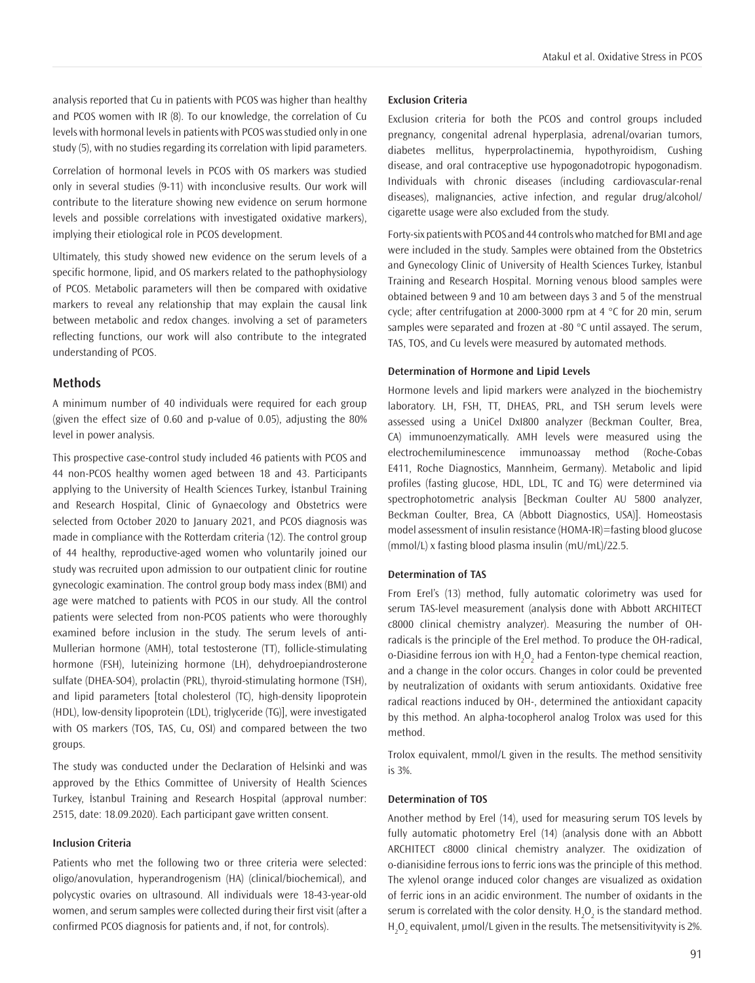analysis reported that Cu in patients with PCOS was higher than healthy and PCOS women with IR (8). To our knowledge, the correlation of Cu levels with hormonal levels in patients with PCOS was studied only in one study (5), with no studies regarding its correlation with lipid parameters.

Correlation of hormonal levels in PCOS with OS markers was studied only in several studies (9-11) with inconclusive results. Our work will contribute to the literature showing new evidence on serum hormone levels and possible correlations with investigated oxidative markers), implying their etiological role in PCOS development.

Ultimately, this study showed new evidence on the serum levels of a specific hormone, lipid, and OS markers related to the pathophysiology of PCOS. Metabolic parameters will then be compared with oxidative markers to reveal any relationship that may explain the causal link between metabolic and redox changes. involving a set of parameters reflecting functions, our work will also contribute to the integrated understanding of PCOS.

#### **Methods**

A minimum number of 40 individuals were required for each group (given the effect size of 0.60 and p-value of 0.05), adjusting the 80% level in power analysis.

This prospective case-control study included 46 patients with PCOS and 44 non-PCOS healthy women aged between 18 and 43. Participants applying to the University of Health Sciences Turkey, İstanbul Training and Research Hospital, Clinic of Gynaecology and Obstetrics were selected from October 2020 to January 2021, and PCOS diagnosis was made in compliance with the Rotterdam criteria (12). The control group of 44 healthy, reproductive-aged women who voluntarily joined our study was recruited upon admission to our outpatient clinic for routine gynecologic examination. The control group body mass index (BMI) and age were matched to patients with PCOS in our study. All the control patients were selected from non-PCOS patients who were thoroughly examined before inclusion in the study. The serum levels of anti-Mullerian hormone (AMH), total testosterone (TT), follicle-stimulating hormone (FSH), luteinizing hormone (LH), dehydroepiandrosterone sulfate (DHEA-SO4), prolactin (PRL), thyroid-stimulating hormone (TSH), and lipid parameters [total cholesterol (TC), high-density lipoprotein (HDL), low-density lipoprotein (LDL), triglyceride (TG)], were investigated with OS markers (TOS, TAS, Cu, OSI) and compared between the two groups.

The study was conducted under the Declaration of Helsinki and was approved by the Ethics Committee of University of Health Sciences Turkey, İstanbul Training and Research Hospital (approval number: 2515, date: 18.09.2020). Each participant gave written consent.

## **Inclusion Criteria**

Patients who met the following two or three criteria were selected: oligo/anovulation, hyperandrogenism (HA) (clinical/biochemical), and polycystic ovaries on ultrasound. All individuals were 18-43-year-old women, and serum samples were collected during their first visit (after a confirmed PCOS diagnosis for patients and, if not, for controls).

#### **Exclusion Criteria**

Exclusion criteria for both the PCOS and control groups included pregnancy, congenital adrenal hyperplasia, adrenal/ovarian tumors, diabetes mellitus, hyperprolactinemia, hypothyroidism, Cushing disease, and oral contraceptive use hypogonadotropic hypogonadism. Individuals with chronic diseases (including cardiovascular-renal diseases), malignancies, active infection, and regular drug/alcohol/ cigarette usage were also excluded from the study.

Forty-six patients with PCOS and 44 controls who matched for BMI and age were included in the study. Samples were obtained from the Obstetrics and Gynecology Clinic of University of Health Sciences Turkey, İstanbul Training and Research Hospital. Morning venous blood samples were obtained between 9 and 10 am between days 3 and 5 of the menstrual cycle; after centrifugation at 2000-3000 rpm at 4 °C for 20 min, serum samples were separated and frozen at -80 °C until assayed. The serum, TAS, TOS, and Cu levels were measured by automated methods.

#### **Determination of Hormone and Lipid Levels**

Hormone levels and lipid markers were analyzed in the biochemistry laboratory. LH, FSH, TT, DHEAS, PRL, and TSH serum levels were assessed using a UniCel DxI800 analyzer (Beckman Coulter, Brea, CA) immunoenzymatically. AMH levels were measured using the electrochemiluminescence immunoassay method (Roche-Cobas E411, Roche Diagnostics, Mannheim, Germany). Metabolic and lipid profiles (fasting glucose, HDL, LDL, TC and TG) were determined via spectrophotometric analysis [Beckman Coulter AU 5800 analyzer, Beckman Coulter, Brea, CA (Abbott Diagnostics, USA)]. Homeostasis model assessment of insulin resistance (HOMA-IR)=fasting blood glucose (mmol/L) x fasting blood plasma insulin (mU/mL)/22.5.

#### **Determination of TAS**

From Erel's (13) method, fully automatic colorimetry was used for serum TAS-level measurement (analysis done with Abbott ARCHITECT c8000 clinical chemistry analyzer). Measuring the number of OHradicals is the principle of the Erel method. To produce the OH-radical, o-Diasidine ferrous ion with  $H_2O_2$  had a Fenton-type chemical reaction, and a change in the color occurs. Changes in color could be prevented by neutralization of oxidants with serum antioxidants. Oxidative free radical reactions induced by OH-, determined the antioxidant capacity by this method. An alpha-tocopherol analog Trolox was used for this method.

Trolox equivalent, mmol/L given in the results. The method sensitivity is 3%.

#### **Determination of TOS**

Another method by Erel (14), used for measuring serum TOS levels by fully automatic photometry Erel (14) (analysis done with an Abbott ARCHITECT c8000 clinical chemistry analyzer. The oxidization of o-dianisidine ferrous ions to ferric ions was the principle of this method. The xylenol orange induced color changes are visualized as oxidation of ferric ions in an acidic environment. The number of oxidants in the serum is correlated with the color density.  $H_2O_2$  is the standard method.  $H_2O_2$  equivalent, µmol/L given in the results. The metsensitivityvity is 2%.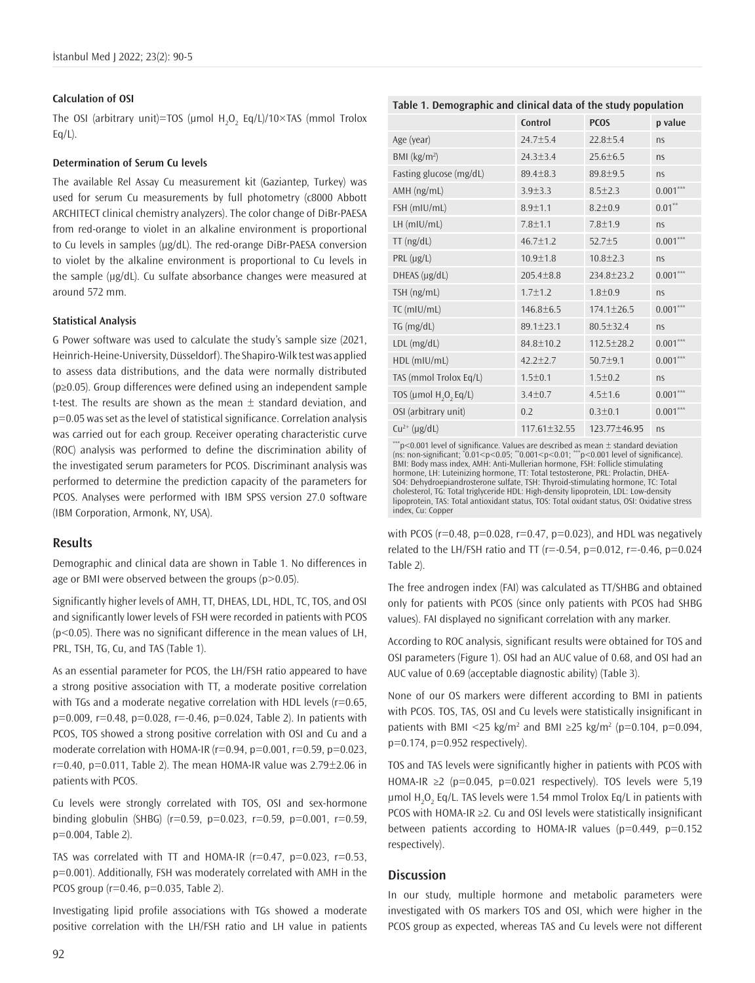#### **Calculation of OSI**

The OSI (arbitrary unit)=TOS (µmol  $H_2O_2$  Eq/L)/10 $\times$ TAS (mmol Trolox  $Eq/L$ ).

## **Determination of Serum Cu levels**

The available Rel Assay Cu measurement kit (Gaziantep, Turkey) was used for serum Cu measurements by full photometry (c8000 Abbott ARCHITECT clinical chemistry analyzers). The color change of DiBr-PAESA from red-orange to violet in an alkaline environment is proportional to Cu levels in samples (µg/dL). The red-orange DiBr-PAESA conversion to violet by the alkaline environment is proportional to Cu levels in the sample (µg/dL). Cu sulfate absorbance changes were measured at around 572 mm.

#### **Statistical Analysis**

G Power software was used to calculate the study's sample size (2021, Heinrich-Heine-University, Düsseldorf). The Shapiro-Wilk test was applied to assess data distributions, and the data were normally distributed (p≥0.05). Group differences were defined using an independent sample t-test. The results are shown as the mean  $\pm$  standard deviation, and p=0.05 was set as the level of statistical significance. Correlation analysis was carried out for each group. Receiver operating characteristic curve (ROC) analysis was performed to define the discrimination ability of the investigated serum parameters for PCOS. Discriminant analysis was performed to determine the prediction capacity of the parameters for PCOS. Analyses were performed with IBM SPSS version 27.0 software (IBM Corporation, Armonk, NY, USA).

#### **Results**

Demographic and clinical data are shown in Table 1. No differences in age or BMI were observed between the groups (p>0.05).

Significantly higher levels of AMH, TT, DHEAS, LDL, HDL, TC, TOS, and OSI and significantly lower levels of FSH were recorded in patients with PCOS (p<0.05). There was no significant difference in the mean values of LH, PRL, TSH, TG, Cu, and TAS (Table 1).

As an essential parameter for PCOS, the LH/FSH ratio appeared to have a strong positive association with TT, a moderate positive correlation with TGs and a moderate negative correlation with HDL levels (r=0.65, p=0.009, r=0.48, p=0.028, r=-0.46, p=0.024, Table 2). In patients with PCOS, TOS showed a strong positive correlation with OSI and Cu and a moderate correlation with HOMA-IR ( $r=0.94$ ,  $p=0.001$ ,  $r=0.59$ ,  $p=0.023$ ,  $r=0.40$ ,  $p=0.011$ , Table 2). The mean HOMA-IR value was  $2.79\pm2.06$  in patients with PCOS.

Cu levels were strongly correlated with TOS, OSI and sex-hormone binding globulin (SHBG) ( $r=0.59$ ,  $p=0.023$ ,  $r=0.59$ ,  $p=0.001$ ,  $r=0.59$ , p=0.004, Table 2).

TAS was correlated with TT and HOMA-IR ( $r=0.47$ ,  $p=0.023$ ,  $r=0.53$ , p=0.001). Additionally, FSH was moderately correlated with AMH in the PCOS group (r=0.46, p=0.035, Table 2).

Investigating lipid profile associations with TGs showed a moderate positive correlation with the LH/FSH ratio and LH value in patients

|                                               | Control            | <b>PCOS</b>      | p value    |  |
|-----------------------------------------------|--------------------|------------------|------------|--|
| Age (year)                                    | 24.7±5.4           | $22.8 \pm 5.4$   | ns         |  |
| BMI (kg/m <sup>2</sup> )                      | $24.3 \pm 3.4$     | $25.6 \pm 6.5$   | ns         |  |
| Fasting glucose (mg/dL)                       | $89.4 \pm 8.3$     | $89.8 + 9.5$     | ns         |  |
| AMH (ng/mL)                                   | $3.9 + 3.3$        | $8.5 \pm 2.3$    | $0.001***$ |  |
| FSH (mIU/mL)                                  | $8.9 + 1.1$        | $8.2 \pm 0.9$    | $0.01***$  |  |
| $LH$ (mIU/mL)                                 | $7.8 + 1.1$        | $7.8 + 1.9$      | ns         |  |
| $TT$ (ng/dL)                                  | $46.7 \pm 1.2$     | $52.7 \pm 5$     | $0.001***$ |  |
| $PRL$ ( $\mu$ g/L)                            | $10.9 \pm 1.8$     | $10.8 \pm 2.3$   | ns         |  |
| DHEAS (µg/dL)                                 | $205.4 \pm 8.8$    | 234.8±23.2       | $0.001***$ |  |
| TSH (ng/mL)                                   | $1.7 \pm 1.2$      | $1.8 + 0.9$      | ns         |  |
| $TC$ (mIU/mL)                                 | $146.8 \pm 6.5$    | $174.1 \pm 26.5$ | $0.001***$ |  |
| TG (mg/dL)                                    | $89.1 \pm 23.1$    | $80.5 \pm 32.4$  | ns         |  |
| LDL (mg/dL)                                   | 84.8±10.2          | $112.5 \pm 28.2$ | $0.001***$ |  |
| HDL (mIU/mL)                                  | $42.2 + 2.7$       | $50.7 + 9.1$     | $0.001***$ |  |
| TAS (mmol Trolox Eq/L)                        | $1.5 + 0.1$        | $1.5 \pm 0.2$    | ns         |  |
| TOS (µmol H <sub>2</sub> O <sub>2</sub> Eq/L) | $3.4 \pm 0.7$      | $4.5 \pm 1.6$    | $0.001***$ |  |
| OSI (arbitrary unit)                          | 0.2                | $0.3 + 0.1$      | $0.001***$ |  |
| $Cu^{2+}$ (µg/dL)                             | $117.61 \pm 32.55$ | 123.77±46.95     | ns         |  |
|                                               |                    |                  |            |  |

**Table 1. Demographic and clinical data of the study population**

 $p$ <0.001 level of significance. Values are described as mean  $\pm$  standard deviation (ns: non-significant; \* 0.01<p<0.05; \*\*0.001<p<0.01; \*\*\*p<0.001 level of significance). BMI: Body mass index, AMH: Anti-Mullerian hormone, FSH: Follicle stimulating hormone, LH: Luteinizing hormone, TT: Total testosterone, PRL: Prolactin, DHEA-SO4: Dehydroepiandrosterone sulfate, TSH: Thyroid-stimulating hormone, TC: Total cholesterol, TG: Total triglyceride HDL: High-density lipoprotein, LDL: Low-density lipoprotein, TAS: Total antioxidant status, TOS: Total oxidant status, OSI: Oxidative stress index, Cu: Copper

with PCOS ( $r=0.48$ ,  $p=0.028$ ,  $r=0.47$ ,  $p=0.023$ ), and HDL was negatively related to the LH/FSH ratio and TT ( $r=-0.54$ ,  $p=0.012$ ,  $r=-0.46$ ,  $p=0.024$ Table 2).

The free androgen index (FAI) was calculated as TT/SHBG and obtained only for patients with PCOS (since only patients with PCOS had SHBG values). FAI displayed no significant correlation with any marker.

According to ROC analysis, significant results were obtained for TOS and OSI parameters (Figure 1). OSI had an AUC value of 0.68, and OSI had an AUC value of 0.69 (acceptable diagnostic ability) (Table 3).

None of our OS markers were different according to BMI in patients with PCOS. TOS, TAS, OSI and Cu levels were statistically insignificant in patients with BMI <25 kg/m<sup>2</sup> and BMI  $\geq$ 25 kg/m<sup>2</sup> (p=0.104, p=0.094,  $p=0.174$ ,  $p=0.952$  respectively).

TOS and TAS levels were significantly higher in patients with PCOS with HOMA-IR ≥2 (p=0.045, p=0.021 respectively). TOS levels were 5,19 μmol  $H_2O_2$  Eq/L. TAS levels were 1.54 mmol Trolox Eq/L in patients with PCOS with HOMA-IR ≥2. Cu and OSI levels were statistically insignificant between patients according to HOMA-IR values ( $p=0.449$ ,  $p=0.152$ respectively).

#### **Discussion**

In our study, multiple hormone and metabolic parameters were investigated with OS markers TOS and OSI, which were higher in the PCOS group as expected, whereas TAS and Cu levels were not different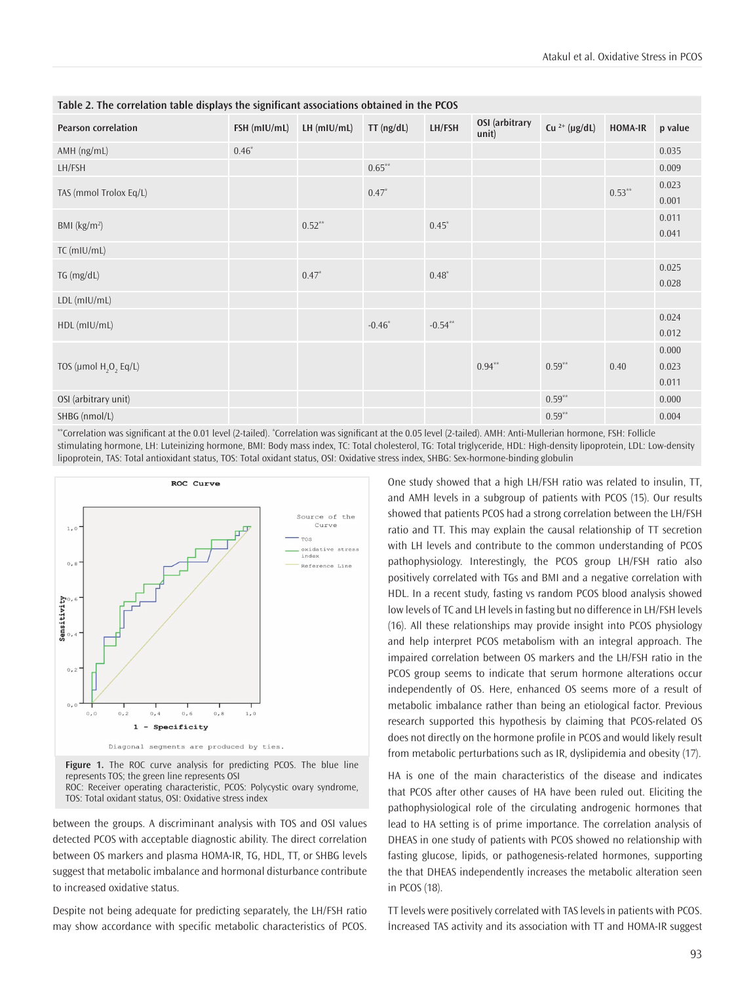| <b>Pearson correlation</b>                    | FSH (mIU/mL)  | $LH$ (mIU/mL) | $TT$ (ng/dL) | LH/FSH     | OSI (arbitrary<br>unit) | Cu $^{2+}$ (µg/dL) | <b>HOMA-IR</b> | p value                 |
|-----------------------------------------------|---------------|---------------|--------------|------------|-------------------------|--------------------|----------------|-------------------------|
| AMH (ng/mL)                                   | $0.46^{\ast}$ |               |              |            |                         |                    |                | 0.035                   |
| LH/FSH                                        |               |               | $0.65***$    |            |                         |                    |                | 0.009                   |
| TAS (mmol Trolox Eq/L)                        |               |               | $0.47*$      |            |                         |                    | $0.53**$       | 0.023<br>0.001          |
| BMI $(kg/m2)$                                 |               | $0.52***$     |              | $0.45*$    |                         |                    |                | 0.011<br>0.041          |
| TC (mIU/mL)                                   |               |               |              |            |                         |                    |                |                         |
| TG (mg/dL)                                    |               | $0.47*$       |              | $0.48*$    |                         |                    |                | 0.025<br>0.028          |
| LDL (mIU/mL)                                  |               |               |              |            |                         |                    |                |                         |
| HDL (mIU/mL)                                  |               |               | $-0.46*$     | $-0.54***$ |                         |                    |                | 0.024<br>0.012          |
| TOS (µmol H <sub>2</sub> O <sub>2</sub> Eq/L) |               |               |              |            | $0.94***$               | $0.59***$          | 0.40           | 0.000<br>0.023<br>0.011 |
| OSI (arbitrary unit)                          |               |               |              |            |                         | $0.59**$           |                | 0.000                   |
| SHBG (nmol/L)                                 |               |               |              |            |                         | $0.59**$           |                | 0.004                   |

**Table 2. The correlation table displays the significant associations obtained in the PCOS**

\*Correlation was significant at the 0.01 level (2-tailed). \*Correlation was significant at the 0.05 level (2-tailed). AMH: Anti-Mullerian hormone, FSH: Follicle stimulating hormone, LH: Luteinizing hormone, BMI: Body mass index, TC: Total cholesterol, TG: Total triglyceride, HDL: High-density lipoprotein, LDL: Low-density lipoprotein, TAS: Total antioxidant status, TOS: Total oxidant status, OSI: Oxidative stress index, SHBG: Sex-hormone-binding globulin



**Figure 1.** The ROC curve analysis for predicting PCOS. The blue line represents TOS; the green line represents OSI ROC: Receiver operating characteristic, PCOS: Polycystic ovary syndrome, TOS: Total oxidant status, OSI: Oxidative stress index

between the groups. A discriminant analysis with TOS and OSI values detected PCOS with acceptable diagnostic ability. The direct correlation between OS markers and plasma HOMA-IR, TG, HDL, TT, or SHBG levels suggest that metabolic imbalance and hormonal disturbance contribute to increased oxidative status.

Despite not being adequate for predicting separately, the LH/FSH ratio may show accordance with specific metabolic characteristics of PCOS.

One study showed that a high LH/FSH ratio was related to insulin, TT, and AMH levels in a subgroup of patients with PCOS (15). Our results showed that patients PCOS had a strong correlation between the LH/FSH ratio and TT. This may explain the causal relationship of TT secretion with LH levels and contribute to the common understanding of PCOS pathophysiology. Interestingly, the PCOS group LH/FSH ratio also positively correlated with TGs and BMI and a negative correlation with HDL. In a recent study, fasting vs random PCOS blood analysis showed low levels of TC and LH levels in fasting but no difference in LH/FSH levels (16). All these relationships may provide insight into PCOS physiology and help interpret PCOS metabolism with an integral approach. The impaired correlation between OS markers and the LH/FSH ratio in the PCOS group seems to indicate that serum hormone alterations occur independently of OS. Here, enhanced OS seems more of a result of metabolic imbalance rather than being an etiological factor. Previous research supported this hypothesis by claiming that PCOS-related OS does not directly on the hormone profile in PCOS and would likely result from metabolic perturbations such as IR, dyslipidemia and obesity (17).

HA is one of the main characteristics of the disease and indicates that PCOS after other causes of HA have been ruled out. Eliciting the pathophysiological role of the circulating androgenic hormones that lead to HA setting is of prime importance. The correlation analysis of DHEAS in one study of patients with PCOS showed no relationship with fasting glucose, lipids, or pathogenesis-related hormones, supporting the that DHEAS independently increases the metabolic alteration seen in PCOS (18).

TT levels were positively correlated with TAS levels in patients with PCOS. İncreased TAS activity and its association with TT and HOMA-IR suggest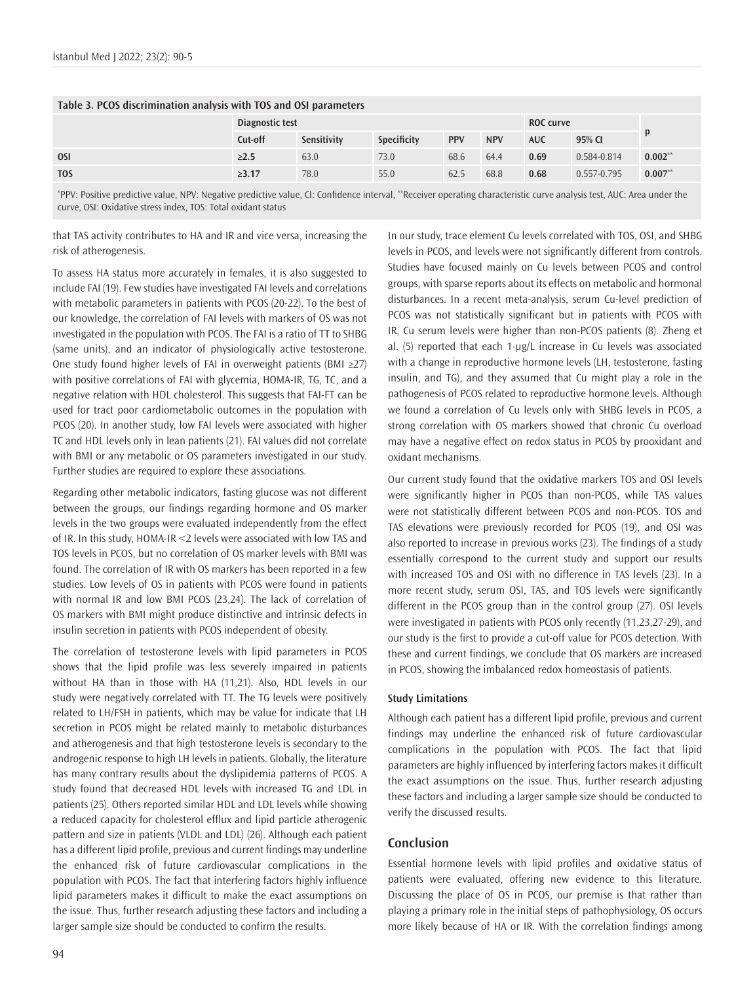| Table 3. PCOS discrimination analysis with TOS and OSI parameters |                 |             |             |            |                  |            |             |             |
|-------------------------------------------------------------------|-----------------|-------------|-------------|------------|------------------|------------|-------------|-------------|
|                                                                   | Diagnostic test |             |             |            | <b>ROC</b> curve |            |             |             |
|                                                                   | Cut-off         | Sensitivity | Specificity | <b>PPV</b> | <b>NPV</b>       | <b>AUC</b> | 95% CI      |             |
| <b>OSI</b>                                                        | >2.5            | 63.0        | 73.0        | 68.6       | 64.4             | 0.69       | 0.584-0.814 | $0.002$ **  |
| <b>TOS</b>                                                        | $\geq 3.17$     | 78.0        | 55.0        | 62.5       | 68.8             | 0.68       | 0.557-0.795 | $0.007^{*}$ |

## **Table 3. PCOS discrimination analysis with TOS and OSI parameters**

\* PPV: Positive predictive value, NPV: Negative predictive value, CI: Confidence interval, \*\*Receiver operating characteristic curve analysis test, AUC: Area under the curve, OSI: Oxidative stress index, TOS: Total oxidant status

that TAS activity contributes to HA and IR and vice versa, increasing the risk of atherogenesis.

To assess HA status more accurately in females, it is also suggested to include FAI (19). Few studies have investigated FAI levels and correlations with metabolic parameters in patients with PCOS (20-22). To the best of our knowledge, the correlation of FAI levels with markers of OS was not investigated in the population with PCOS. The FAI is a ratio of TT to SHBG (same units), and an indicator of physiologically active testosterone. One study found higher levels of FAI in overweight patients (BMI ≥27) with positive correlations of FAI with glycemia, HOMA-IR, TG, TC, and a negative relation with HDL cholesterol. This suggests that FAI-FT can be used for tract poor cardiometabolic outcomes in the population with PCOS (20). In another study, low FAI levels were associated with higher TC and HDL levels only in lean patients (21). FAI values did not correlate with BMI or any metabolic or OS parameters investigated in our study. Further studies are required to explore these associations.

Regarding other metabolic indicators, fasting glucose was not different between the groups, our findings regarding hormone and OS marker levels in the two groups were evaluated independently from the effect of IR. In this study, HOMA-IR <2 levels were associated with low TAS and TOS levels in PCOS, but no correlation of OS marker levels with BMI was found. The correlation of IR with OS markers has been reported in a few studies. Low levels of OS in patients with PCOS were found in patients with normal IR and low BMI PCOS (23,24). The lack of correlation of OS markers with BMI might produce distinctive and intrinsic defects in insulin secretion in patients with PCOS independent of obesity.

The correlation of testosterone levels with lipid parameters in PCOS shows that the lipid profile was less severely impaired in patients without HA than in those with HA (11,21). Also, HDL levels in our study were negatively correlated with TT. The TG levels were positively related to LH/FSH in patients, which may be value for indicate that LH secretion in PCOS might be related mainly to metabolic disturbances and atherogenesis and that high testosterone levels is secondary to the androgenic response to high LH levels in patients. Globally, the literature has many contrary results about the dyslipidemia patterns of PCOS. A study found that decreased HDL levels with increased TG and LDL in patients (25). Others reported similar HDL and LDL levels while showing a reduced capacity for cholesterol efflux and lipid particle atherogenic pattern and size in patients (VLDL and LDL) (26). Although each patient has a different lipid profile, previous and current findings may underline the enhanced risk of future cardiovascular complications in the population with PCOS. The fact that interfering factors highly influence lipid parameters makes it difficult to make the exact assumptions on the issue. Thus, further research adjusting these factors and including a larger sample size should be conducted to confirm the results.

In our study, trace element Cu levels correlated with TOS, OSI, and SHBG levels in PCOS, and levels were not significantly different from controls. Studies have focused mainly on Cu levels between PCOS and control groups, with sparse reports about its effects on metabolic and hormonal disturbances. In a recent meta-analysis, serum Cu-level prediction of PCOS was not statistically significant but in patients with PCOS with IR, Cu serum levels were higher than non-PCOS patients (8). Zheng et al. (5) reported that each 1-μg/L increase in Cu levels was associated with a change in reproductive hormone levels (LH, testosterone, fasting insulin, and TG), and they assumed that Cu might play a role in the pathogenesis of PCOS related to reproductive hormone levels. Although we found a correlation of Cu levels only with SHBG levels in PCOS, a strong correlation with OS markers showed that chronic Cu overload may have a negative effect on redox status in PCOS by prooxidant and oxidant mechanisms.

Our current study found that the oxidative markers TOS and OSI levels were significantly higher in PCOS than non-PCOS, while TAS values were not statistically different between PCOS and non-PCOS. TOS and TAS elevations were previously recorded for PCOS (19), and OSI was also reported to increase in previous works (23). The findings of a study essentially correspond to the current study and support our results with increased TOS and OSI with no difference in TAS levels (23). In a more recent study, serum OSI, TAS, and TOS levels were significantly different in the PCOS group than in the control group (27). OSI levels were investigated in patients with PCOS only recently (11,23,27-29), and our study is the first to provide a cut-off value for PCOS detection. With these and current findings, we conclude that OS markers are increased in PCOS, showing the imbalanced redox homeostasis of patients.

#### **Study Limitations**

Although each patient has a different lipid profile, previous and current findings may underline the enhanced risk of future cardiovascular complications in the population with PCOS. The fact that lipid parameters are highly influenced by interfering factors makes it difficult the exact assumptions on the issue. Thus, further research adjusting these factors and including a larger sample size should be conducted to verify the discussed results.

## **Conclusion**

Essential hormone levels with lipid profiles and oxidative status of patients were evaluated, offering new evidence to this literature. Discussing the place of OS in PCOS, our premise is that rather than playing a primary role in the initial steps of pathophysiology, OS occurs more likely because of HA or IR. With the correlation findings among